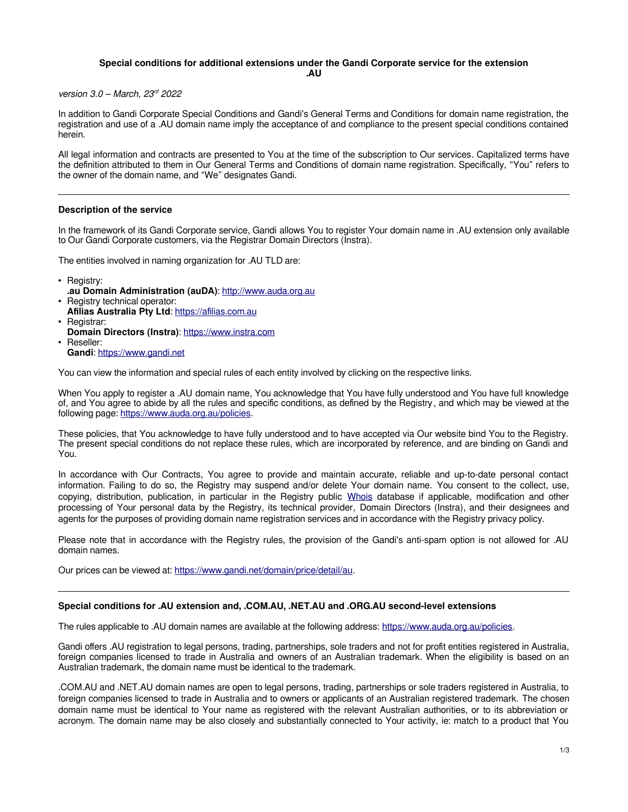## **Special conditions for additional extensions under the Gandi Corporate service for the extension**

**.AU**

version  $3.0$  – March,  $23<sup>rd</sup>$  2022

In addition to Gandi Corporate Special Conditions and Gandi's General Terms and Conditions for domain name registration, the registration and use of a .AU domain name imply the acceptance of and compliance to the present special conditions contained herein.

All legal information and contracts are presented to You at the time of the subscription to Our services. Capitalized terms have the definition attributed to them in Our General Terms and Conditions of domain name registration. Specifically, "You" refers to the owner of the domain name, and "We" designates Gandi.

## **Description of the service**

In the framework of its Gandi Corporate service, Gandi allows You to register Your domain name in .AU extension only available to Our Gandi Corporate customers, via the Registrar Domain Directors (Instra).

The entities involved in naming organization for .AU TLD are:

- Registry:
- **.au Domain Administration (auDA)**: [http://www.auda.org.au](http://www.auda.org.au/) • Registry technical operator:
- **Afilias Australia Pty Ltd**: [https://afilias.com.au](https://afilias.com.au/) • Registrar:
- **Domain Directors (Instra): [https://www.instra.com](https://www.instra.com/)** • Reseller:
- **Gandi**: [https://www.gandi.net](https://www.gandi.net/)

You can view the information and special rules of each entity involved by clicking on the respective links.

When You apply to register a .AU domain name, You acknowledge that You have fully understood and You have full knowledge of, and You agree to abide by all the rules and specific conditions, as defined by the Registry , and which may be viewed at the following page: [https://www.auda.org.au/policies.](https://www.auda.org.au/policies/)

These policies, that You acknowledge to have fully understood and to have accepted via Our website bind You to the Registry. The present special conditions do not replace these rules, which are incorporated by reference, and are binding on Gandi and You.

In accordance with Our Contracts, You agree to provide and maintain accurate, reliable and up-to-date personal contact information. Failing to do so, the Registry may suspend and/or delete Your domain name. You consent to the collect, use, copying, distribution, publication, in particular in the Registry public [Whois](https://whois.auda.org.au/) database if applicable, modification and other processing of Your personal data by the Registry, its technical provider, Domain Directors (Instra), and their designees and agents for the purposes of providing domain name registration services and in accordance with the Registry privacy policy.

Please note that in accordance with the Registry rules, the provision of the Gandi's anti-spam option is not allowed for .AU domain names.

Our prices can be viewed at: [https://www.gandi.net/domain/price/detail/au.](https://www.gandi.net/domain/price/detail/au)

## **Special conditions for .AU extension and, .COM.AU, .NET.AU and .ORG.AU second-level extensions**

The rules applicable to .AU domain names are available at the following address: [https://www.auda.org.au/policies.](https://www.auda.org.au/policies)

Gandi offers .AU registration to legal persons, trading, partnerships, sole traders and not for profit entities registered in Australia, foreign companies licensed to trade in Australia and owners of an Australian trademark. When the eligibility is based on an Australian trademark, the domain name must be identical to the trademark.

.COM.AU and .NET.AU domain names are open to legal persons, trading, partnerships or sole traders registered in Australia, to foreign companies licensed to trade in Australia and to owners or applicants of an Australian registered trademark. The chosen domain name must be identical to Your name as registered with the relevant Australian authorities, or to its abbreviation or acronym. The domain name may be also closely and substantially connected to Your activity, ie: match to a product that You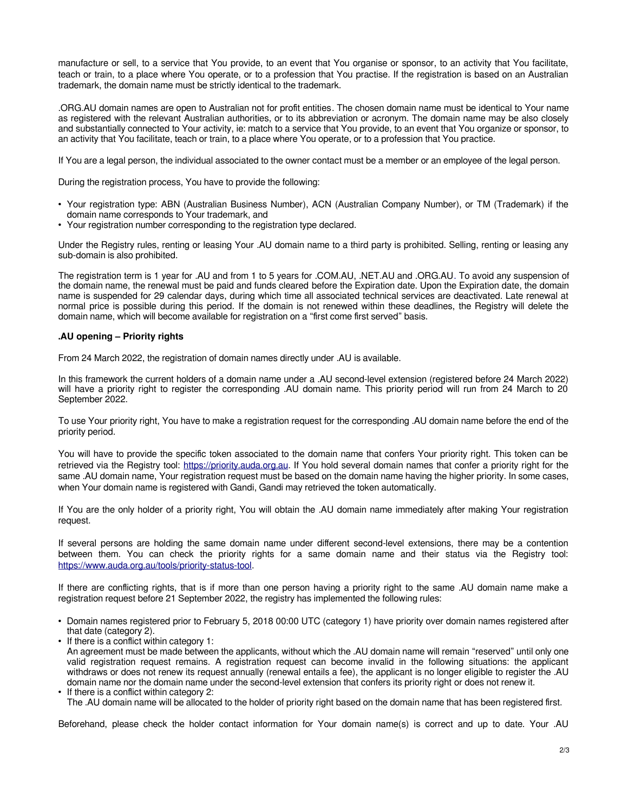manufacture or sell, to a service that You provide, to an event that You organise or sponsor, to an activity that You facilitate, teach or train, to a place where You operate, or to a profession that You practise. If the registration is based on an Australian trademark, the domain name must be strictly identical to the trademark.

.ORG.AU domain names are open to Australian not for profit entities. The chosen domain name must be identical to Your name as registered with the relevant Australian authorities, or to its abbreviation or acronym. The domain name may be also closely and substantially connected to Your activity, ie: match to a service that You provide, to an event that You organize or sponsor, to an activity that You facilitate, teach or train, to a place where You operate, or to a profession that You practice.

If You are a legal person, the individual associated to the owner contact must be a member or an employee of the legal person.

During the registration process, You have to provide the following:

- Your registration type: ABN (Australian Business Number), ACN (Australian Company Number), or TM (Trademark) if the domain name corresponds to Your trademark, and
- Your registration number corresponding to the registration type declared.

Under the Registry rules, renting or leasing Your .AU domain name to a third party is prohibited. Selling, renting or leasing any sub-domain is also prohibited.

The registration term is 1 year for .AU and from 1 to 5 years for .COM.AU, .NET.AU and .ORG.AU. To avoid any suspension of the domain name, the renewal must be paid and funds cleared before the Expiration date. Upon the Expiration date, the domain name is suspended for 29 calendar days, during which time all associated technical services are deactivated. Late renewal at normal price is possible during this period. If the domain is not renewed within these deadlines, the Registry will delete the domain name, which will become available for registration on a "first come first served" basis.

## **.AU opening – Priority rights**

From 24 March 2022, the registration of domain names directly under .AU is available.

In this framework the current holders of a domain name under a .AU second-level extension (registered before 24 March 2022) will have a priority right to register the corresponding .AU domain name. This priority period will run from 24 March to 20 September 2022.

To use Your priority right, You have to make a registration request for the corresponding .AU domain name before the end of the priority period.

You will have to provide the specific token associated to the domain name that confers Your priority right. This token can be retrieved via the Registry tool: [https://priority.auda.org.au.](https://priority.auda.org.au/) If You hold several domain names that confer a priority right for the same .AU domain name, Your registration request must be based on the domain name having the higher priority. In some cases, when Your domain name is registered with Gandi. Gandi may retrieved the token automatically.

If You are the only holder of a priority right, You will obtain the .AU domain name immediately after making Your registration request.

If several persons are holding the same domain name under different second-level extensions, there may be a contention between them. You can check the priority rights for a same domain name and their status via the Registry tool: [https://www.auda.org.au/tools/priority-status-tool.](https://www.auda.org.au/tools/priority-status-tool)

If there are conflicting rights, that is if more than one person having a priority right to the same .AU domain name make a registration request before 21 September 2022, the registry has implemented the following rules:

- Domain names registered prior to February 5, 2018 00:00 UTC (category 1) have priority over domain names registered after that date (category 2).
- If there is a conflict within category 1: An agreement must be made between the applicants, without which the .AU domain name will remain "reserved" until only one valid registration request remains. A registration request can become invalid in the following situations: the applicant withdraws or does not renew its request annually (renewal entails a fee), the applicant is no longer eligible to register the .AU domain name nor the domain name under the second-level extension that confers its priority right or does not renew it.
- If there is a conflict within category 2: The .AU domain name will be allocated to the holder of priority right based on the domain name that has been registered first.

Beforehand, please check the holder contact information for Your domain name(s) is correct and up to date. Your .AU